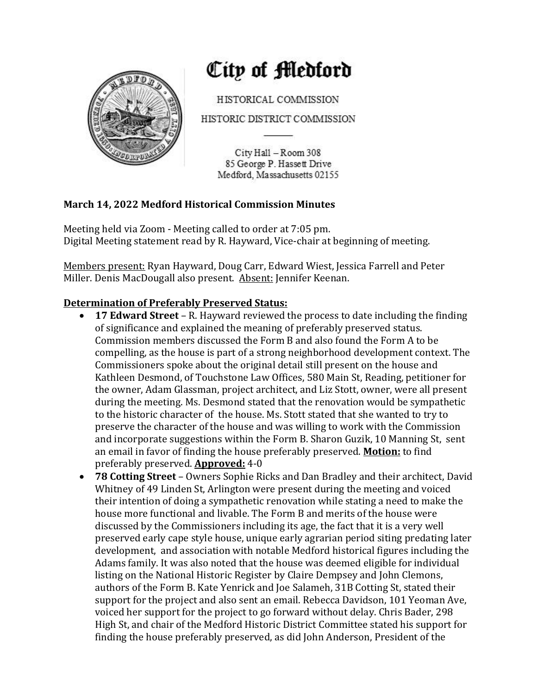

# City of Medford

HISTORICAL COMMISSION

HISTORIC DISTRICT COMMISSION

City Hall - Room 308 85 George P. Hassett Drive Medford, Massachusetts 02155

# **March 14, 2022 Medford Historical Commission Minutes**

Meeting held via Zoom - Meeting called to order at 7:05 pm. Digital Meeting statement read by R. Hayward, Vice-chair at beginning of meeting.

Members present: Ryan Hayward, Doug Carr, Edward Wiest, Jessica Farrell and Peter Miller. Denis MacDougall also present. Absent: Jennifer Keenan.

# **Determination of Preferably Preserved Status:**

- **17 Edward Street** R. Hayward reviewed the process to date including the finding of significance and explained the meaning of preferably preserved status. Commission members discussed the Form B and also found the Form A to be compelling, as the house is part of a strong neighborhood development context. The Commissioners spoke about the original detail still present on the house and Kathleen Desmond, of Touchstone Law Offices, 580 Main St, Reading, petitioner for the owner, Adam Glassman, project architect, and Liz Stott, owner, were all present during the meeting. Ms. Desmond stated that the renovation would be sympathetic to the historic character of the house. Ms. Stott stated that she wanted to try to preserve the character of the house and was willing to work with the Commission and incorporate suggestions within the Form B. Sharon Guzik, 10 Manning St, sent an email in favor of finding the house preferably preserved. **Motion:** to find preferably preserved. **Approved:** 4-0
- 78 Cotting Street Owners Sophie Ricks and Dan Bradley and their architect, David Whitney of 49 Linden St, Arlington were present during the meeting and voiced their intention of doing a sympathetic renovation while stating a need to make the house more functional and livable. The Form B and merits of the house were discussed by the Commissioners including its age, the fact that it is a very well preserved early cape style house, unique early agrarian period siting predating later development, and association with notable Medford historical figures including the Adams family. It was also noted that the house was deemed eligible for individual listing on the National Historic Register by Claire Dempsey and John Clemons, authors of the Form B. Kate Yenrick and Joe Salameh, 31B Cotting St, stated their support for the project and also sent an email. Rebecca Davidson, 101 Yeoman Ave, voiced her support for the project to go forward without delay. Chris Bader, 298 High St, and chair of the Medford Historic District Committee stated his support for finding the house preferably preserved, as did John Anderson, President of the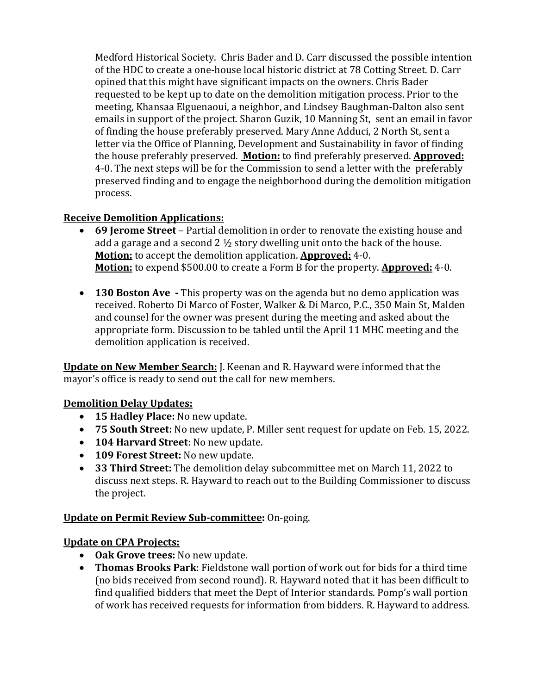Medford Historical Society. Chris Bader and D. Carr discussed the possible intention of the HDC to create a one-house local historic district at 78 Cotting Street. D. Carr opined that this might have significant impacts on the owners. Chris Bader requested to be kept up to date on the demolition mitigation process. Prior to the meeting, Khansaa Elguenaoui, a neighbor, and Lindsey Baughman-Dalton also sent emails in support of the project. Sharon Guzik, 10 Manning St, sent an email in favor of finding the house preferably preserved. Mary Anne Adduci, 2 North St, sent a letter via the Office of Planning, Development and Sustainability in favor of finding the house preferably preserved. **Motion:** to find preferably preserved. **Approved:** 4-0. The next steps will be for the Commission to send a letter with the preferably preserved finding and to engage the neighborhood during the demolition mitigation process.

### **Receive Demolition Applications:**

- **69 Jerome Street** Partial demolition in order to renovate the existing house and add a garage and a second 2  $\frac{1}{2}$  story dwelling unit onto the back of the house. **Motion:** to accept the demolition application. **Approved:** 4-0. **Motion:** to expend \$500.00 to create a Form B for the property. **Approved:** 4-0.
- **130 Boston Ave** This property was on the agenda but no demo application was received. Roberto Di Marco of Foster, Walker & Di Marco, P.C., 350 Main St, Malden and counsel for the owner was present during the meeting and asked about the appropriate form. Discussion to be tabled until the April 11 MHC meeting and the demolition application is received.

**Update on New Member Search:** J. Keenan and R. Hayward were informed that the mayor's office is ready to send out the call for new members.

### **Demolition Delay Updates:**

- **15 Hadley Place:** No new update.
- 75 **South Street:** No new update, P. Miller sent request for update on Feb. 15, 2022.
- **104 Harvard Street**: No new update.
- **109 Forest Street:** No new update.
- **33 Third Street:** The demolition delay subcommittee met on March 11, 2022 to discuss next steps. R. Hayward to reach out to the Building Commissioner to discuss the project.

### **Update on Permit Review Sub-committee:** On-going.

### **Update on CPA Projects:**

- Oak Grove trees: No new update.
- Thomas Brooks Park: Fieldstone wall portion of work out for bids for a third time (no bids received from second round). R. Hayward noted that it has been difficult to find qualified bidders that meet the Dept of Interior standards. Pomp's wall portion of work has received requests for information from bidders. R. Hayward to address.